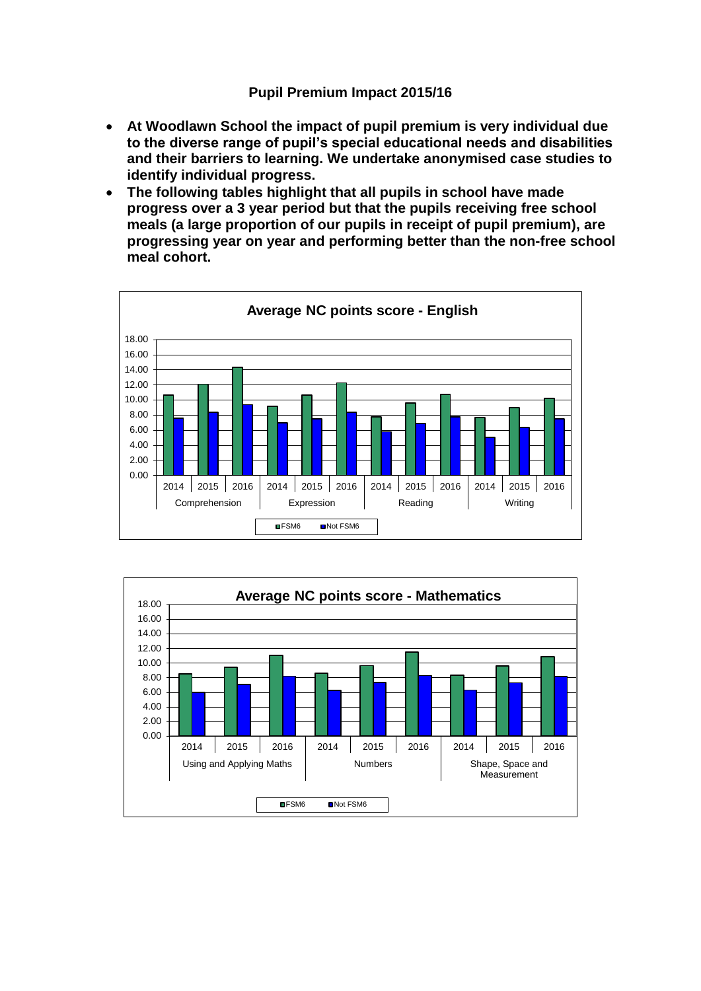## **Pupil Premium Impact 2015/16**

- **At Woodlawn School the impact of pupil premium is very individual due to the diverse range of pupil's special educational needs and disabilities and their barriers to learning. We undertake anonymised case studies to identify individual progress.**
- **The following tables highlight that all pupils in school have made progress over a 3 year period but that the pupils receiving free school meals (a large proportion of our pupils in receipt of pupil premium), are progressing year on year and performing better than the non-free school meal cohort.**